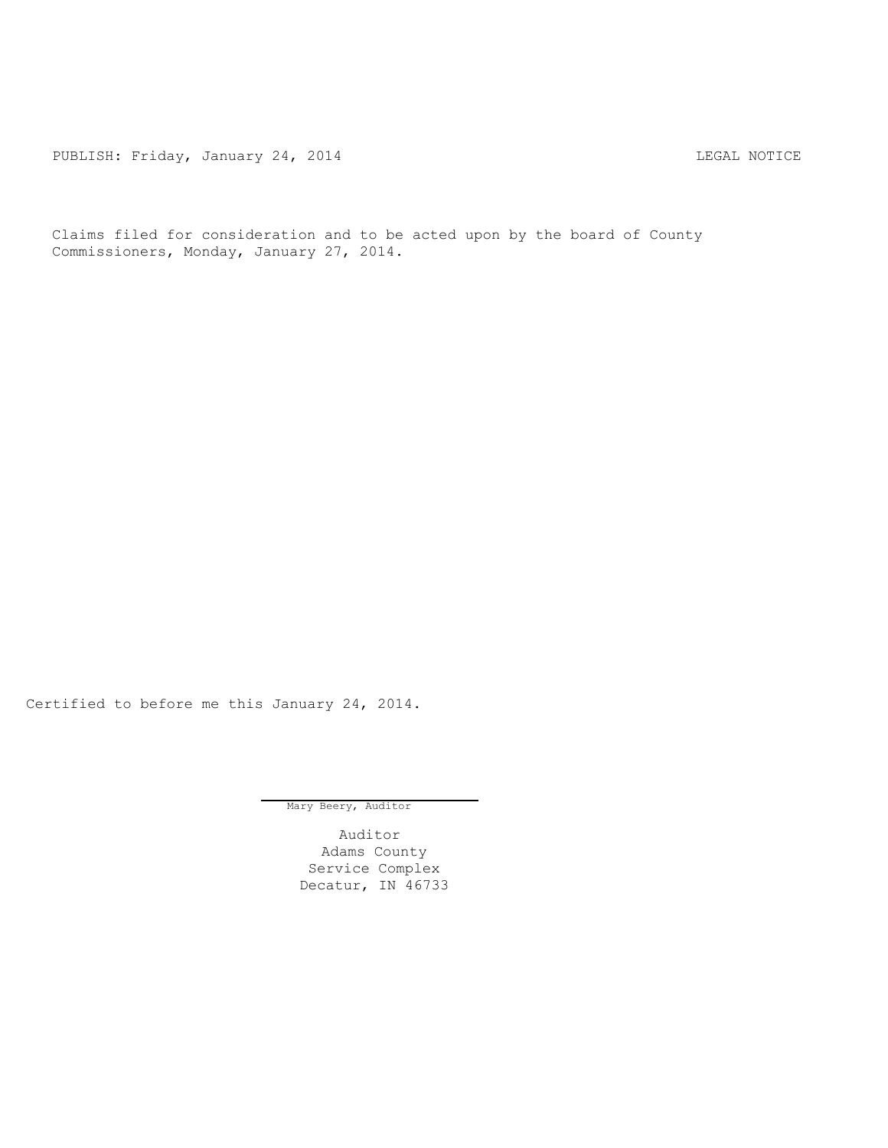PUBLISH: Friday, January 24, 2014 CHA CHANGE CONSTRUCTED AND THE LEGAL NOTICE

Claims filed for consideration and to be acted upon by the board of County Commissioners, Monday, January 27, 2014.

Certified to before me this January 24, 2014.

Mary Beery, Auditor

Auditor Adams County Service Complex Decatur, IN 46733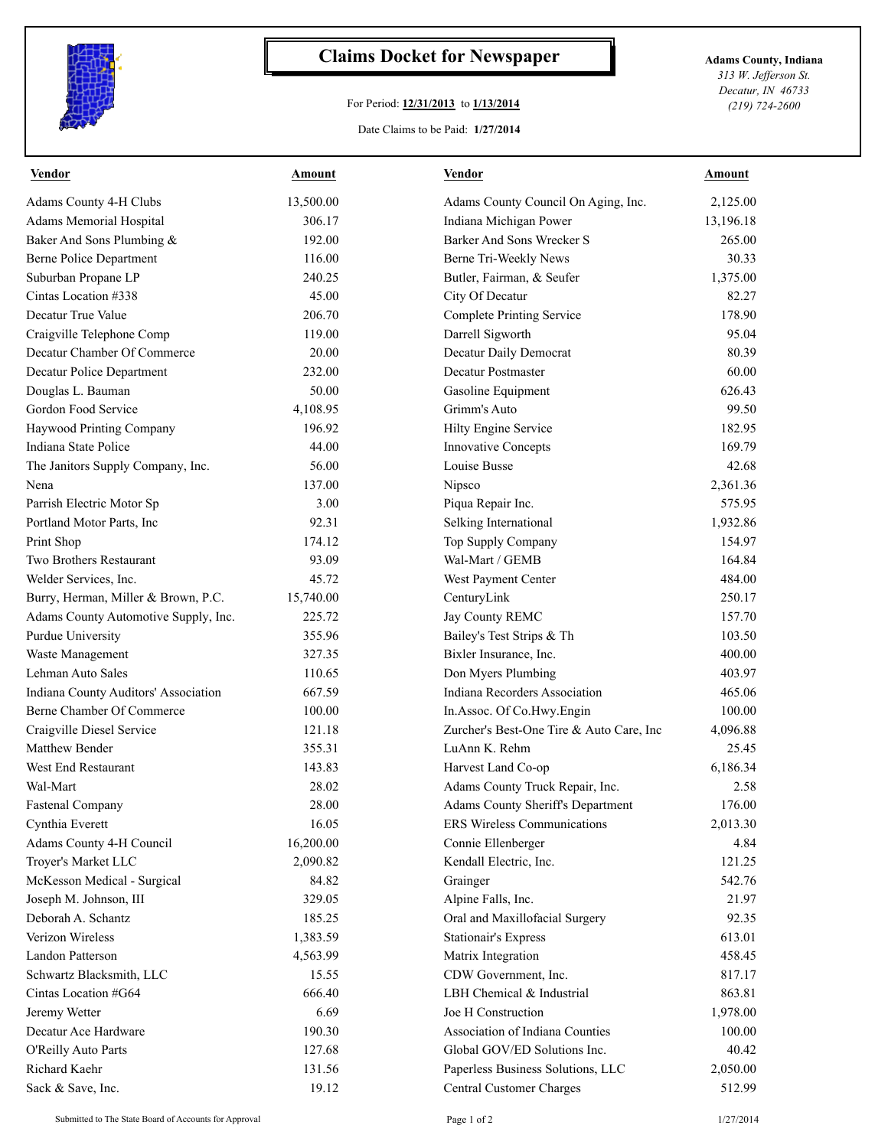

## **Claims Docket for Newspaper Adams County, Indiana**

## For Period: **12/31/2013** to **1/13/2014**

*313 W. Jefferson St. Decatur, IN 46733 (219) 724-2600*

## Date Claims to be Paid: **1/27/2014**

| <b>Vendor</b>                        | <u>Amount</u> | <u>Vendor</u>                            | <b>Amount</b> |
|--------------------------------------|---------------|------------------------------------------|---------------|
| Adams County 4-H Clubs               | 13,500.00     | Adams County Council On Aging, Inc.      | 2,125.00      |
| Adams Memorial Hospital              | 306.17        | Indiana Michigan Power                   | 13,196.18     |
| Baker And Sons Plumbing &            | 192.00        | Barker And Sons Wrecker S                | 265.00        |
| <b>Berne Police Department</b>       | 116.00        | Berne Tri-Weekly News                    | 30.33         |
| Suburban Propane LP                  | 240.25        | Butler, Fairman, & Seufer                | 1,375.00      |
| Cintas Location #338                 | 45.00         | City Of Decatur                          | 82.27         |
| Decatur True Value                   | 206.70        | Complete Printing Service                | 178.90        |
| Craigville Telephone Comp            | 119.00        | Darrell Sigworth                         | 95.04         |
| Decatur Chamber Of Commerce          | 20.00         | Decatur Daily Democrat                   | 80.39         |
| Decatur Police Department            | 232.00        | Decatur Postmaster                       | 60.00         |
| Douglas L. Bauman                    | 50.00         | Gasoline Equipment                       | 626.43        |
| Gordon Food Service                  | 4,108.95      | Grimm's Auto                             | 99.50         |
| Haywood Printing Company             | 196.92        | Hilty Engine Service                     | 182.95        |
| Indiana State Police                 | 44.00         | <b>Innovative Concepts</b>               | 169.79        |
| The Janitors Supply Company, Inc.    | 56.00         | Louise Busse                             | 42.68         |
| Nena                                 | 137.00        | Nipsco                                   | 2,361.36      |
| Parrish Electric Motor Sp            | 3.00          | Piqua Repair Inc.                        | 575.95        |
| Portland Motor Parts, Inc.           | 92.31         | Selking International                    | 1,932.86      |
| Print Shop                           | 174.12        | Top Supply Company                       | 154.97        |
| Two Brothers Restaurant              | 93.09         | Wal-Mart / GEMB                          | 164.84        |
| Welder Services, Inc.                | 45.72         | West Payment Center                      | 484.00        |
| Burry, Herman, Miller & Brown, P.C.  | 15,740.00     | CenturyLink                              | 250.17        |
| Adams County Automotive Supply, Inc. | 225.72        | Jay County REMC                          | 157.70        |
| Purdue University                    | 355.96        | Bailey's Test Strips & Th                | 103.50        |
| Waste Management                     | 327.35        | Bixler Insurance, Inc.                   | 400.00        |
| Lehman Auto Sales                    | 110.65        | Don Myers Plumbing                       | 403.97        |
| Indiana County Auditors' Association | 667.59        | Indiana Recorders Association            | 465.06        |
| Berne Chamber Of Commerce            | 100.00        | In.Assoc. Of Co.Hwy.Engin                | 100.00        |
| Craigville Diesel Service            | 121.18        | Zurcher's Best-One Tire & Auto Care, Inc | 4,096.88      |
| Matthew Bender                       | 355.31        | LuAnn K. Rehm                            | 25.45         |
| West End Restaurant                  | 143.83        | Harvest Land Co-op                       | 6,186.34      |
| Wal-Mart                             | 28.02         | Adams County Truck Repair, Inc.          | 2.58          |
| Fastenal Company                     | 28.00         | Adams County Sheriff's Department        | 176.00        |
| Cynthia Everett                      | 16.05         | ERS Wireless Communications              | 2,013.30      |
| Adams County 4-H Council             | 16,200.00     | Connie Ellenberger                       | 4.84          |
| Troyer's Market LLC                  | 2,090.82      | Kendall Electric, Inc.                   | 121.25        |
| McKesson Medical - Surgical          | 84.82         | Grainger                                 | 542.76        |
| Joseph M. Johnson, III               | 329.05        | Alpine Falls, Inc.                       | 21.97         |
| Deborah A. Schantz                   | 185.25        | Oral and Maxillofacial Surgery           | 92.35         |
| Verizon Wireless                     | 1,383.59      | <b>Stationair's Express</b>              | 613.01        |
| <b>Landon Patterson</b>              | 4,563.99      | Matrix Integration                       | 458.45        |
| Schwartz Blacksmith, LLC             | 15.55         | CDW Government, Inc.                     | 817.17        |
| Cintas Location #G64                 | 666.40        | LBH Chemical & Industrial                | 863.81        |
| Jeremy Wetter                        | 6.69          | Joe H Construction                       | 1,978.00      |
| Decatur Ace Hardware                 | 190.30        | Association of Indiana Counties          | 100.00        |
| O'Reilly Auto Parts                  | 127.68        | Global GOV/ED Solutions Inc.             | 40.42         |
| Richard Kaehr                        | 131.56        | Paperless Business Solutions, LLC        | 2,050.00      |
| Sack & Save, Inc.                    | 19.12         | <b>Central Customer Charges</b>          | 512.99        |